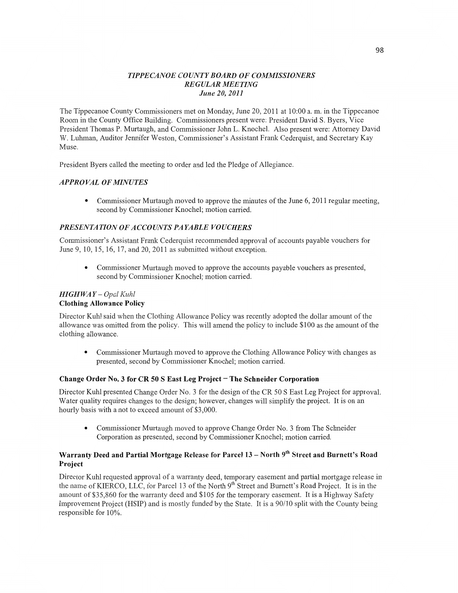#### *TIPPE CANOE COUNT Y BOARD* OF *COMMISSIONERS REGULAR MEETING June* 20, *2011*

The Tippecanoe County Commissioners met on Monday, June 20, 2011 at 10:00 a. m. in the Tippecanoe Room in the County Office Building. Commissioners present were: President **David** S. Byers, Vice President Thomas P. Murtaugh, and Commissioner John L. Knochel. Also present were: Attorney David W. Luhman, Auditor Jennifer Weston, Commissioner's Assistant Frank Cederquist, and Secretary Kay Muse.

President Byers called the meeting to order and led the Pledge of Allegiance.

# *APPRO* VAL OF *MINUTES*

• Commissioner Murtaugh moved to approve the minutes of the June 6, 2011 regular meeting, second by Commissioner Knochel; motion carried.

# **PRESENTATION OF ACCOUNTS PAYABLE VOUCHERS**

Commissioner's Assistant Frank Cederquist recommended approval of accounts payable vouchers for June 9, 10, 15, 16, 17, and 20, 2011 as submitted without exception.

**0** Commissioner Murtaugh **moved** to approve the accounts payable vouchers as presented, second by Commissioner Knochel; motion carried.

#### *HIGH* WA *Y* — *Opal Kuhl*  **Clothing Allowance Policy**

Director Kuhl said when the Clothing Allowance Policy was recently adopted the dollar amount of the allowance was omitted from the policy. This will amend the policy to include \$100 as the amount of the **clothing** allowance.

**0** Commissioner Murtaugh moved to approve the Clothing Allowance Policy with changes as presented, second by Commissioner Knochel; motion carried.

# **Change Order** No. **3** for CR 50 **S East** Leg **Project** *-* The **Schneider Corporation**

Director Kuhl presented Change Order No. 3 for the design of the CR 50 **S** East Leg Project for approval. Water quality requires changes to the design; however, changes will simplify the project. It is on an hourly basis with a not to exceed amount of \$3,000.

**0** Commissioner Murtaugh moved to approve Change Order No. 3 from The Schneider Corporation as presented, second by Commissioner Knochel; motion carried.

# **Warranty Deed and Partial Mortgage Release for Parcel 13 – North 9th Street and Burnett's Road Project**

Director Kuhl requested approval of a warranty deed, temporary easement and partial mortgage release in the name of KIERCO, LLC, for Parcel 13 of the North 9<sup>th</sup> Street and Burnett's Road Project. It is in the amount of \$35,860 for the warranty deed and \$105 for the temporary easement. It is **a** Highway Safety Improvement Project **(HSIP)** and is mostly funded by the State. It is a 90/10 split with the County being responsible for 10%.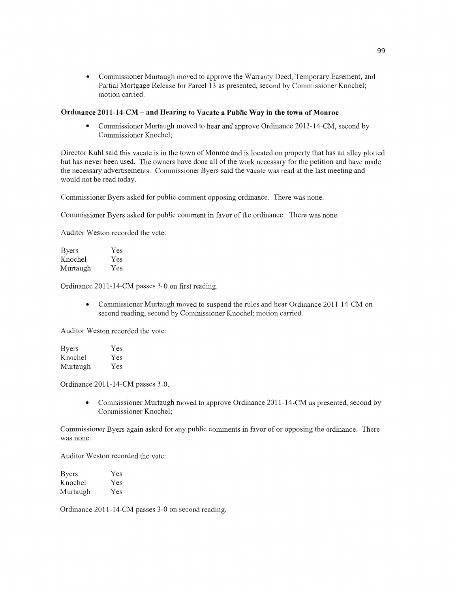**0** Commissioner Murtaugh **moved** to approve the Warranty Deed, Temporary Basement, and Partial Mortgage Release for Parcel 13 as presented, second by Commissioner Knochel; motion carried.

#### **Ordinance 2011-14-CM —** and **Hearing** to **Vacate a Public** Way in the **town** of **Monroe**

**0** Commissioner Murtaugh moved to hear and approve Ordinance 2011-14-CM, second by Commissioner Knochel;

Director Kuhl said this vacate is in the town of Monroe and is located on property that has an alley plotted but has never been used. The owners **have** done all of the work necessary for the petition and have made the necessary advertisements. Commissioner Byers said the vacate was read at the last meeting and would not be read today.

Commissioner Byers asked for public comment opposing ordinance. There was none.

Commissioner Byers asked for public comment in favor of the ordinance. There was none.

Auditor Weston recorded the vote:

| <b>Byers</b> | Yes |
|--------------|-----|
| Knochel      | Yes |
| Murtaugh     | Yes |

Ordinance 2011-14—CM passes 3—0 on first reading.

**-** Commissioner Murtaugh moved to suspend the rules and hear Ordinance 2011—14-CM on second reading, second by Commissioner Knochel; motion carried.

Auditor Weston recorded the vote:

| <b>Byers</b> | Yes |
|--------------|-----|
| Knochel      | Yes |
| Murtaugh     | Yes |

Ordinance 2011-14—CM passes 3-0.

• Commissioner Murtaugh moved to approve Ordinance 2011-14-CM as presented, second by Commissioner Knochel;

Commissioner Byers again asked for any **public** comments in favor of or opposing the ordinance. There was none.

Auditor Weston recorded the vote:

| Byers    | Yes |
|----------|-----|
| Knochel  | Yes |
| Murtaugh | Yes |

Ordinance 2011-14—CM passes 3-0 on **second** reading.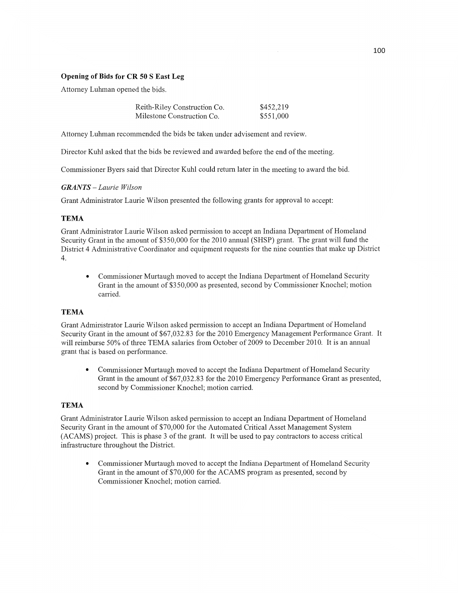# Opening of **Bids** for CR 50 S **East** Leg

Attorney Luhman opened the bids.

| Reith-Riley Construction Co. | \$452,219 |
|------------------------------|-----------|
| Milestone Construction Co.   | \$551,000 |

Attorney Luhman recommended the bids be taken under advisement and review.

Director Kuhl asked that the bids be reviewed and awarded before the end of the meeting.

Commissioner Byers said that Director Kuhl could return later in the meeting to award the bid.

# *GRANTS - Laurie Wilson*

Grant Administrator Laurie Wilson presented the following grants for approval to accept:

# **TEMA**

Grant Administrator Laurie Wilson asked permission to accept an Indiana Department of Homeland Security Grant in the amount of \$350,000 for the 2010 annual (SHSP) grant. The grant will **fund** the District 4 Administrative Coordinator and equipment requests for the nine counties that make up District 4.

**0** Commissioner Murtaugh moved to accept the Indiana Department of Homeland Security Grant in the amount of \$350,000 as presented, second by Commissioner Knochel; motion carried.

# **TEMA**

Grant Administrator Laurie Wilson asked permission to accept an Indiana Department of Homeland Security Grant in the amount of \$67,032.83 for the 2010 Emergency Management Performance Grant. It will reimburse 50% of three TEMA salaries from October of 2009 to December 2010. It is an annual grant that is based on performance.

**0** Commissioner Murtaugh moved to accept the Indiana Department of Homeland Security Grant in the amount of \$67,032.83 for the 2010 Emergency Performance Grant as presented, second by Commissioner Knochel; motion carried.

# **TEMA**

Grant Administrator Laurie Wilson asked permission to accept an Indiana Department of Homeland Security Grant in the amount of \$70,000 for the Automated Critical Asset Management System (ACAMS) project. **This** is phase 3 of the grant. It will be used to pay contractors to access critical infrastructure throughout the District.

**0** Commissioner Murtaugh moved to accept the **Indiana** Department of Homeland Security Grant in the amount of \$70,000 for the ACAMS program as presented, second by Commissioner Knochel; motion carried.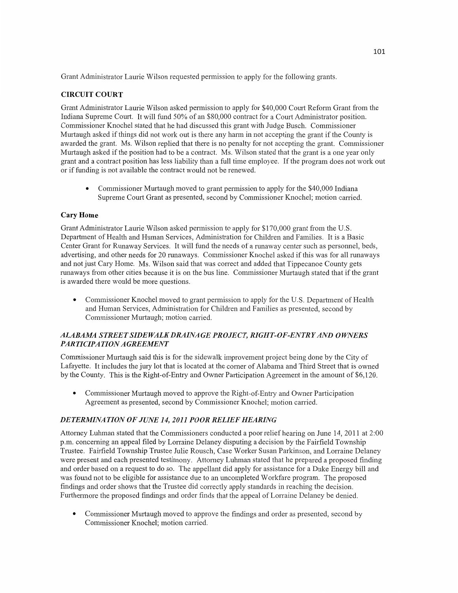Grant Administrator Laurie Wilson requested permission to apply for the following grants.

# **CIRCUIT COURT**

Grant Administrator Laurie Wilson asked permission to apply for \$40,000 Court Reform Grant from the Indiana Supreme Court. It will **fund** 50% of an \$80,000 contract for a Court Administrator position. Commissioner Knochel stated that he had discussed this grant with Judge Busch. Commissioner Murtaugh asked if things did not work out is there any harm in not accepting the grant if the County is awarded the grant. Ms. Wilson replied that there is no penalty for not accepting the grant. Commissioner Murtaugh asked if the position had to be a contract. Ms. Wilson stated that the grant is **a** one year only grant and a contract position has less liability than a full time employee. If the program does not work out or if funding is not available the contract would not be renewed.

**0 Commissioner** Murtaugh moved to grant permission to apply for the \$40,000 Indiana Supreme Court Grant as presented, second by Commissioner Knochel; **motion** canied.

# **Cary Home**

Grant Administrator Laurie Wilson asked permission to apply for \$170,000 grant from the US. Department of Health and Human Services, Administration for Children and Families. It is a Basic Center Grant for Runaway Services. It will fund the needs of a runaway center such as personnel, beds, advertising, and other needs for 20 runaways. Commissioner Knochel asked if this was for all runaways and not just Cary Home. Ms. Wilson said that was correct and added that Tippecanoe County gets runaways from other cities because it is on the bus line. Commissioner Murtaugh **stated** that if the grant is awarded there would be more questions.

**0** Commissioner Knochel moved to grant permission to apply for the US. Department of Health and Human Services, Administration for Children and Families as presented, second by Commissioner Murtaugh; motion carried.

# *ALABAM4 STREET SIDE WALK DRAINA* GE *PROJECT, RIGH T ~0F-ENT* RY AND *OWNERS*  PAR TI *CIPA TION AGREEMENT*

Commissioner Murtaugh said this is for the sidewalk improvement project being done by the City of Lafayette. It includes the jury lot **that** is located at the corner of Alabama and Third Street that is owned by the County. This is the Right-of-Entry and Owner Participation Agreement in the amount of \$6,120.

**0** Commissioner Murtaugh **moved** to approve the Right—of—Entry and Owner Participation Agreement as presented, second by Commissioner Knochel; motion carried.

# DE *T ERMINA T I* 0N OF *JUNE* 14, *2011 POOR RELIEF HEARING*

Attorney Luhman stated that the Commissioners conducted a poor relief hearing on June 14, 2011 at 2:00 pm. concerning an appeal filed by Lorraine Delaney disputing a decision by the Fairfield Township Trustee. Fairfield Township Trustee Julie Rousch, Case Worker Susan Parkinson, and Lorraine Delaney were present and each presented testimony. Attorney Luhman stated that he prepared a proposed finding and order based on a request to do so. The appellant did apply for assistance for *a* Duke Energy bill and was found not to be eligible for assistance due to an uncompleted Workfare program. The proposed findings and order shows that the Trustee did correctly apply standards in reaching the decision. Furthermore the proposed findings and order **finds** that the appeal of Lorraine Delaney be denied.

**0 Commissioner** Murtaugh moved to approve the findings and order as presented, second by Commissioner Knochel; motion carried.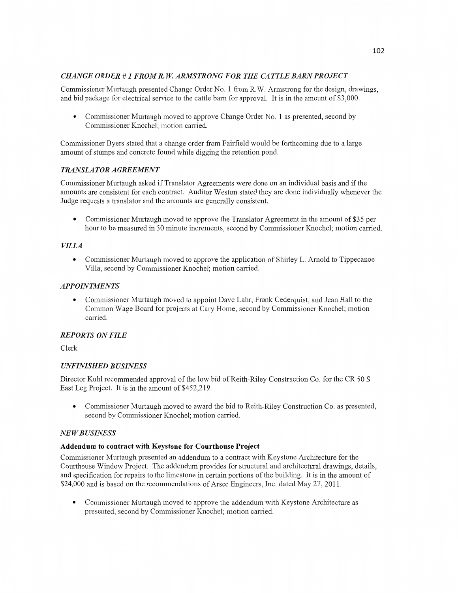# *CHANGE ORDER* **#** *1 FROM* R. W. *ARMSTRONG* FOR THE CA *T T* LE *BARN PROJECT*

Commissioner Murtaugh presented Change Order No. 1 from R.W. Annstrong for the design, drawings, and bid package for electrical service to the cattle ham for approval. It is in the amount of \$3,000.

**0** Commissioner Murtaugh moved to approve Change Order No. **1** as presented, second by Commissioner Knochel; motion carried.

Commissioner Byers stated **that** a change order from Fairfield would be forthcoming due to **a** large amount of stumps and concrete found while digging the retention pond.

# *TRANSLA* TOR *A GREEMEN T*

Commissioner Murtaugh asked if Translator Agreements were done on an individual basis and if the amounts are consistent for each contract. Auditor Weston stated they are done individually whenever the Judge requests a translator and the amounts are generally consistent.

**0** Commissioner Murtaugh moved to approve the Translator Agreement in the amount of \$35 per hour to be measured in 30 minute increments, second by Commissioner Knochel; motion carried.

# *VILLA*

**0** Commissioner Murtaugh moved to approve the application of Shirley L. Arnold to Tippecanoe Villa, second by Commissioner Knochel; motion carried.

#### *APPOINTMENTS*

**0** Commissioner Murtaugh moved to appoint Dave Lahr, Frank Cederquist, and Jean Hall to the Common Wage Board for projects at Cary Home, second by Commissioner Knochel; motion carried.

# *REPORTS* ON *FILE*

Clerk

# *UNFINISHED BUSINESS*

Director Kuhl recommended approval of the low bid of Reith—Riley Construction Co. for the CR 50 **S**  East Leg Project. It is in the **amount** of \$452,219.

**0** Commissioner Murtaugh moved to award the bid to Keith-Riley Construction Co. as presented, second by Commissioner Knochel; motion carried.

# NE WB *USINESS*

#### **Addendum** to **contract with Keystone** for **Courthouse Project**

Commissioner Murtaugh presented an addendum to a contract with Keystone Architecture for the Courthouse Window Project. The addendum provides for structural and architectural drawings, details, and specification for repairs to the limestone in certain portions of the building. It is in the amount of \$24,000 and is based on the recommendations of Arsee Engineers, Inc. dated May 27, 2011.

**0** Commissioner Murtaugh moved to approve the addendum with Keystone Architecture as presented, second by Commissioner Knochel; motion carried.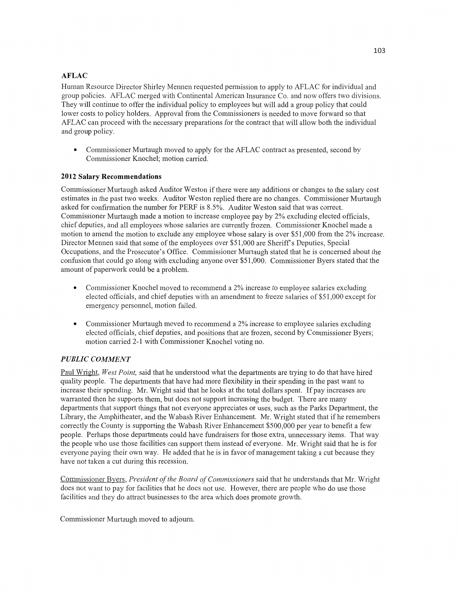# **AFLAC**

Human Resource Director Shirley Mennen requested permission to apply to AFLAC for individual and group policies. AFLAC merged with Continental American Insurance Co. and now offers two divisions. They will continue to offer the individual policy to employees but will add a group policy that could lower costs to policy holders. Approval from the Commissioners is needed to move forward so that AF LAC can proceed with the necessary preparations for the contract that Will allow both the individual and group policy.

• Commissioner Murtaugh moved to apply for the AFLAC contract as presented, second by Commissioner Knochel; motion carried.

# **2012 Salary Recommendations**

Commissioner Murtaugh asked Auditor Weston if there were any additions or changes to the salary cost estimates in the past two weeks. Auditor Weston replied there are no changes. Commissioner Murtaugh asked for confirmation the number for PERF is 8.5%. Auditor Weston said that was correct. Commissioner Murtaugh made **a** motion to increase employee pay by 2% excluding elected officials, **chief** deputies, and all employees whose salaries are currently frozen. Commissioner Knochel made a motion to amend the motion to exclude any employee whose salary is over \$51,000 from the 2% increase. Director Mennen said that some of the employees over \$51,000 are Sheriffs Deputies, Special Occupations, and the Prosecutor's Office. Commissioner Murtaugh stated that he is concerned about the **confusion that** could go along with excluding anyone over \$51,000. Commissioner Byers stated that the amount of paperwork could be a problem.

- **0** Commissioner Knochel moved to recommend a 2% increase to employee salaries excluding elected officials, and chief deputies with an amendment to freeze salaries of \$51,000 except for emergency personnel, **motion** failed,
- Commissioner Murtaugh moved to recommend a 2% increase to employee salaries excluding elected officials, chief deputies, and positions that are frozen, second by Commissioner Byers; motion carried 2-1 with Commissioner Knochel voting no.

# *PUBLIC COMMENT*

Paul Wright, *West Point,* said that he **understood** What the departments are trying to do that have **hired**  quality people. The departments that have had more flexibility in their spending in the past want to increase their spending. Mr. Wright said that he looks at the total dollars spent. If pay increases are warranted then he supports them, but does not support increasing the budget. There are many departments that support things that not everyone appreciates or uses, such as the Parks Department, the Library, the Amphitheater, and the Wabash River Enhancement. Mr. Wright stated that if he remembers correctly the County is supporting the Wabash River Enhancement \$500,000 per year to benefit a few people. Perhaps those departments could have fundraisers for those extra, unnecessaly items. **That** way the people who use those facilities can support them instead of everyone. Mr. Wright said **that** he is for everyone paying their own way. He added that he is in favor of management taking a cut because they have not taken a cut during this recession.

Commissioner Byers, *President* of the *Board* of *Commissioners* said that he understands that Mr. Wright does not want to pay for facilities that he does not use. However, there are people who do use those facilities and they do attract businesses to the area which does promote growth.

Commissioner Murtaugh moved to adjourn.